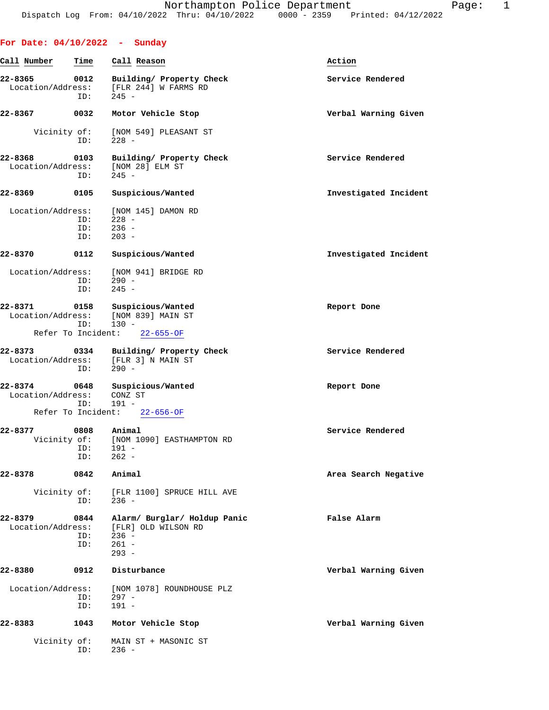| For Date: $04/10/2022 -$ Sunday |                    |                                                                                      |                       |
|---------------------------------|--------------------|--------------------------------------------------------------------------------------|-----------------------|
| Call Number                     | Time               | Call Reason                                                                          | Action                |
| 22-8365<br>Location/Address:    | 0012<br>ID:        | Building/ Property Check<br>[FLR 244] W FARMS RD<br>$245 -$                          | Service Rendered      |
| 22-8367                         | 0032               | Motor Vehicle Stop                                                                   | Verbal Warning Given  |
| Vicinity of:                    | ID:                | [NOM 549] PLEASANT ST<br>$228 -$                                                     |                       |
| 22-8368<br>Location/Address:    | 0103<br>ID:        | Building/ Property Check<br>[NOM 28] ELM ST<br>$245 -$                               | Service Rendered      |
| 22-8369                         | 0105               | Suspicious/Wanted                                                                    | Investigated Incident |
| Location/Address:               | ID:<br>ID:<br>ID:  | [NOM 145] DAMON RD<br>$228 -$<br>$236 -$<br>$203 -$                                  |                       |
| 22-8370                         | 0112               | Suspicious/Wanted                                                                    | Investigated Incident |
| Location/Address:               | ID:<br>ID:         | [NOM 941] BRIDGE RD<br>$290 -$<br>$245 -$                                            |                       |
| 22-8371<br>Location/Address:    | ID:                | 0158 Suspicious/Wanted<br>[NOM 839] MAIN ST<br>$130 -$                               | Report Done           |
| Refer To Incident:              |                    | $22 - 655 - 0F$                                                                      |                       |
| 22-8373                         | 0334<br>ID:        | Building/ Property Check<br>Location/Address: [FLR 3] N MAIN ST<br>$290 -$           | Service Rendered      |
| 22-8374<br>Location/Address:    | 0648<br>ID:        | Suspicious/Wanted<br>CONZ ST<br>191 -                                                | Report Done           |
|                                 |                    | Refer To Incident: 22-656-OF                                                         |                       |
| 22-8377<br>Vicinity of:         | 0808<br>ID:<br>ID: | Animal<br>[NOM 1090] EASTHAMPTON RD<br>$191 -$<br>$262 -$                            | Service Rendered      |
| 22-8378                         | 0842               | Animal                                                                               | Area Search Negative  |
| Vicinity of:                    | ID:                | [FLR 1100] SPRUCE HILL AVE<br>$236 -$                                                |                       |
| 22-8379<br>Location/Address:    | 0844<br>ID:<br>ID: | Alarm/ Burglar/ Holdup Panic<br>[FLR] OLD WILSON RD<br>$236 -$<br>$261 -$<br>$293 -$ | False Alarm           |
| 22-8380                         | 0912               | Disturbance                                                                          | Verbal Warning Given  |
| Location/Address:               | ID:<br>ID:         | [NOM 1078] ROUNDHOUSE PLZ<br>$297 -$<br>$191 -$                                      |                       |
| 22-8383                         | 1043               | Motor Vehicle Stop                                                                   | Verbal Warning Given  |
| Vicinity of:                    | ID:                | MAIN ST + MASONIC ST<br>$236 -$                                                      |                       |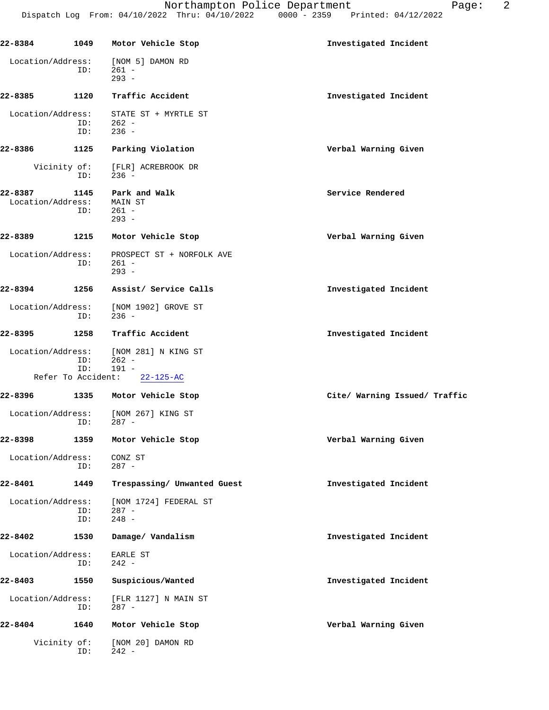| 22-8384                      | 1049                             | Motor Vehicle Stop                              | Investigated Incident         |
|------------------------------|----------------------------------|-------------------------------------------------|-------------------------------|
| Location/Address:            | ID:                              | [NOM 5] DAMON RD<br>$261 -$<br>$293 -$          |                               |
| 22-8385                      | 1120                             | Traffic Accident                                | Investigated Incident         |
| Location/Address:            | ID:<br>ID:                       | STATE ST + MYRTLE ST<br>$262 -$<br>$236 -$      |                               |
| 22-8386                      | 1125                             | Parking Violation                               | Verbal Warning Given          |
|                              | Vicinity of:<br>ID:              | [FLR] ACREBROOK DR<br>$236 -$                   |                               |
| 22-8387<br>Location/Address: | 1145<br>ID:                      | Park and Walk<br>MAIN ST<br>$261 -$<br>$293 -$  | Service Rendered              |
| 22-8389                      | 1215                             | Motor Vehicle Stop                              | Verbal Warning Given          |
| Location/Address:            | ID:                              | PROSPECT ST + NORFOLK AVE<br>$261 -$<br>$293 -$ |                               |
| 22-8394                      | 1256                             | Assist/ Service Calls                           | Investigated Incident         |
| Location/Address:            | ID:                              | [NOM 1902] GROVE ST<br>$236 -$                  |                               |
| 22-8395                      | 1258                             | Traffic Accident                                | Investigated Incident         |
| Location/Address:            | ID:<br>ID:<br>Refer To Accident: | [NOM 281] N KING ST<br>$262 -$<br>$191 -$       |                               |
|                              |                                  | $22 - 125 - AC$                                 |                               |
| 22-8396<br>Location/Address: | 1335                             | Motor Vehicle Stop<br>[NOM 267] KING ST         | Cite/ Warning Issued/ Traffic |
|                              | ID:                              | $287 -$                                         |                               |
| 22-8398                      | 1359                             | Motor Vehicle Stop                              | Verbal Warning Given          |
| Location/Address:            | ID:                              | CONZ ST<br>$287 -$                              |                               |
| 22-8401                      | 1449                             | Trespassing/ Unwanted Guest                     | Investigated Incident         |
| Location/Address:            | ID:<br>ID:                       | [NOM 1724] FEDERAL ST<br>$287 -$<br>$248 -$     |                               |
| 22-8402                      | 1530                             | Damage/ Vandalism                               | Investigated Incident         |
| Location/Address:            | ID:                              | EARLE ST<br>$242 -$                             |                               |
| 22-8403                      | 1550                             | Suspicious/Wanted                               | Investigated Incident         |
| Location/Address:            | ID:                              | [FLR 1127] N MAIN ST<br>$287 -$                 |                               |
| 22-8404                      | 1640                             | Motor Vehicle Stop                              | Verbal Warning Given          |
|                              | Vicinity of:<br>ID:              | [NOM 20] DAMON RD<br>$242 -$                    |                               |